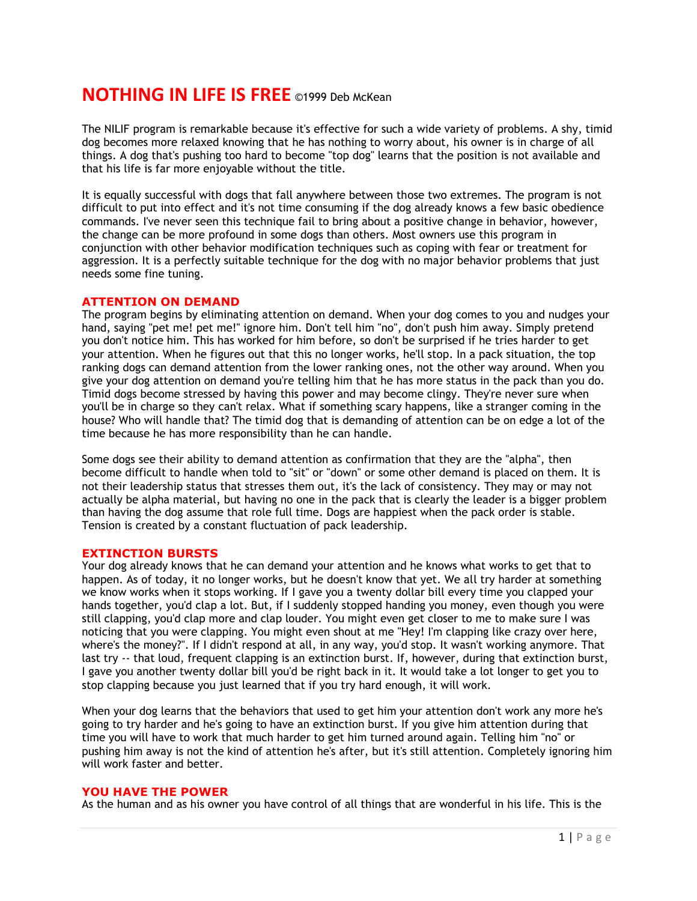# **NOTHING IN LIFE IS FREE** ©1999 Deb McKean

The NILIF program is remarkable because it's effective for such a wide variety of problems. A shy, timid dog becomes more relaxed knowing that he has nothing to worry about, his owner is in charge of all things. A dog that's pushing too hard to become "top dog" learns that the position is not available and that his life is far more enjoyable without the title.

It is equally successful with dogs that fall anywhere between those two extremes. The program is not difficult to put into effect and it's not time consuming if the dog already knows a few basic obedience commands. I've never seen this technique fail to bring about a positive change in behavior, however, the change can be more profound in some dogs than others. Most owners use this program in conjunction with other behavior modification techniques such as coping with fear or treatment for aggression. It is a perfectly suitable technique for the dog with no major behavior problems that just needs some fine tuning.

### **ATTENTION ON DEMAND**

The program begins by eliminating attention on demand. When your dog comes to you and nudges your hand, saying "pet me! pet me!" ignore him. Don't tell him "no", don't push him away. Simply pretend you don't notice him. This has worked for him before, so don't be surprised if he tries harder to get your attention. When he figures out that this no longer works, he'll stop. In a pack situation, the top ranking dogs can demand attention from the lower ranking ones, not the other way around. When you give your dog attention on demand you're telling him that he has more status in the pack than you do. Timid dogs become stressed by having this power and may become clingy. They're never sure when you'll be in charge so they can't relax. What if something scary happens, like a stranger coming in the house? Who will handle that? The timid dog that is demanding of attention can be on edge a lot of the time because he has more responsibility than he can handle.

Some dogs see their ability to demand attention as confirmation that they are the "alpha", then become difficult to handle when told to "sit" or "down" or some other demand is placed on them. It is not their leadership status that stresses them out, it's the lack of consistency. They may or may not actually be alpha material, but having no one in the pack that is clearly the leader is a bigger problem than having the dog assume that role full time. Dogs are happiest when the pack order is stable. Tension is created by a constant fluctuation of pack leadership.

## **EXTINCTION BURSTS**

Your dog already knows that he can demand your attention and he knows what works to get that to happen. As of today, it no longer works, but he doesn't know that yet. We all try harder at something we know works when it stops working. If I gave you a twenty dollar bill every time you clapped your hands together, you'd clap a lot. But, if I suddenly stopped handing you money, even though you were still clapping, you'd clap more and clap louder. You might even get closer to me to make sure I was noticing that you were clapping. You might even shout at me "Hey! I'm clapping like crazy over here, where's the money?". If I didn't respond at all, in any way, you'd stop. It wasn't working anymore. That last try -- that loud, frequent clapping is an extinction burst. If, however, during that extinction burst, I gave you another twenty dollar bill you'd be right back in it. It would take a lot longer to get you to stop clapping because you just learned that if you try hard enough, it will work.

When your dog learns that the behaviors that used to get him your attention don't work any more he's going to try harder and he's going to have an extinction burst. If you give him attention during that time you will have to work that much harder to get him turned around again. Telling him "no" or pushing him away is not the kind of attention he's after, but it's still attention. Completely ignoring him will work faster and better.

## **YOU HAVE THE POWER**

As the human and as his owner you have control of all things that are wonderful in his life. This is the